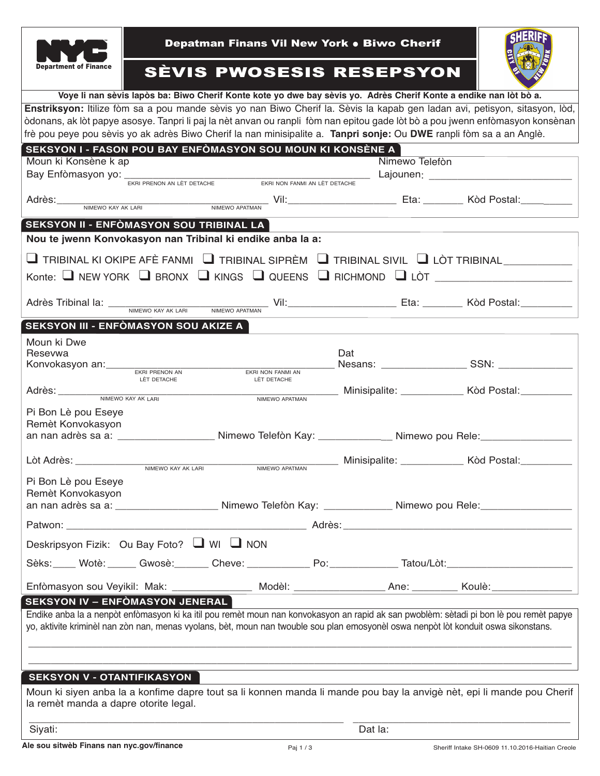|                                                                                                                                                                  | Depatman Finans Vil New York . Biwo Cherif |                                          |     |                                                                                                                 |
|------------------------------------------------------------------------------------------------------------------------------------------------------------------|--------------------------------------------|------------------------------------------|-----|-----------------------------------------------------------------------------------------------------------------|
| <b>Department of Finance</b>                                                                                                                                     | <b>SÈVIS PWOSESIS RESEPSYON</b>            |                                          |     |                                                                                                                 |
| Voye li nan sèvis lapòs ba: Biwo Cherif Konte kote yo dwe bay sèvis yo. Adrès Cherif Konte a endike nan lòt bò a.                                                |                                            |                                          |     |                                                                                                                 |
| Enstriksyon: Itilize fòm sa a pou mande sèvis yo nan Biwo Cherif la. Sèvis la kapab gen ladan avi, petisyon, sitasyon, lòd,                                      |                                            |                                          |     |                                                                                                                 |
| òdonans, ak lòt papye asosye. Tanpri li paj la nèt anvan ou ranpli fòm nan epitou gade lòt bò a pou jwenn enfòmasyon konsènan                                    |                                            |                                          |     |                                                                                                                 |
| frè pou peye pou sèvis yo ak adrès Biwo Cherif la nan minisipalite a. Tanpri sonje: Ou DWE ranpli fòm sa a an Anglè.                                             |                                            |                                          |     |                                                                                                                 |
| SEKSYON I - FASON POU BAY ENFÒMASYON SOU MOUN KI KONSÈNE A                                                                                                       |                                            |                                          |     |                                                                                                                 |
| Nimewo Telefòn<br>Moun ki Konsène k ap<br>Bay Enfòmasyon yo: <u>EKRI PRENON AN LÈT DETACHE EXAI NON FONMI AN LÈT DETACHE</u> Lajounen: _________________________ |                                            |                                          |     |                                                                                                                 |
|                                                                                                                                                                  |                                            |                                          |     |                                                                                                                 |
|                                                                                                                                                                  |                                            |                                          |     | Adrès: NIMEWO KAY AK LARI NIMEWO APATMAN VII: CALLANDRE Eta: CALLANDRE ROMANI: NIMEWO APATMAN VIII: CALLANDRE E |
|                                                                                                                                                                  |                                            |                                          |     |                                                                                                                 |
| SEKSYON II - ENFÒMASYON SOU TRIBINAL LA                                                                                                                          |                                            |                                          |     |                                                                                                                 |
| Nou te jwenn Konvokasyon nan Tribinal ki endike anba la a:                                                                                                       |                                            |                                          |     |                                                                                                                 |
| $\Box$ TRIBINAL KI OKIPE AFÈ FANMI $\Box$ TRIBINAL SIPRÈM $\Box$ TRIBINAL SIVIL $\Box$ LÒT TRIBINAL                                                              |                                            |                                          |     |                                                                                                                 |
|                                                                                                                                                                  |                                            |                                          |     | Konte: $\Box$ NEW YORK $\Box$ BRONX $\Box$ KINGS $\Box$ QUEENS $\Box$ RICHMOND $\Box$ LÒT $\Box$                |
|                                                                                                                                                                  |                                            |                                          |     |                                                                                                                 |
|                                                                                                                                                                  |                                            |                                          |     | Adrès Tribinal la: WEREN AN AK LARI NIMEWO APATMAN VII: UNIVERSITY DETA: UNIVERSITY NORTHALINE METALLO NEW DET  |
|                                                                                                                                                                  |                                            |                                          |     |                                                                                                                 |
| SEKSYON III - ENFÒMASYON SOU AKIZE A                                                                                                                             |                                            |                                          |     |                                                                                                                 |
| Moun ki Dwe                                                                                                                                                      |                                            |                                          |     |                                                                                                                 |
| Resevwa                                                                                                                                                          |                                            |                                          | Dat |                                                                                                                 |
| Konvokasyon an: EKRI PRENON AN                                                                                                                                   | LÈT DETACHE                                | EKRI NON FANMI AN<br>LÈT DETACHE         |     |                                                                                                                 |
|                                                                                                                                                                  |                                            | Adrès: NIMEWO KAY AK LARI NIMEWO APATMAN |     | _____ Minisipalite: ____________ Kòd Postal: _________                                                          |
|                                                                                                                                                                  |                                            |                                          |     |                                                                                                                 |
| Pi Bon Lè pou Eseye<br>Remèt Konvokasyon                                                                                                                         |                                            |                                          |     |                                                                                                                 |
|                                                                                                                                                                  |                                            |                                          |     | an nan adrès sa a: _______________________ Nimewo Telefòn Kay: ________________ Nimewo pou Rele: _____________  |
|                                                                                                                                                                  |                                            |                                          |     |                                                                                                                 |
|                                                                                                                                                                  |                                            |                                          |     |                                                                                                                 |
| Pi Bon Lè pou Eseye                                                                                                                                              |                                            |                                          |     |                                                                                                                 |
| Remèt Konvokasyon                                                                                                                                                |                                            |                                          |     |                                                                                                                 |
|                                                                                                                                                                  |                                            |                                          |     | an nan adrès sa a: __________________________Nimewo Telefòn Kay: ______________Nimewo pou Rele: ______________  |
|                                                                                                                                                                  |                                            |                                          |     |                                                                                                                 |
|                                                                                                                                                                  |                                            |                                          |     |                                                                                                                 |
| Deskripsyon Fizik: Ou Bay Foto? U WI U NON                                                                                                                       |                                            |                                          |     |                                                                                                                 |
|                                                                                                                                                                  |                                            |                                          |     | Sèks:_____ Wotè:_______ Gwosè:________ Cheve: ______________ Po:_______________Tatou/Lòt:_____________________  |
|                                                                                                                                                                  |                                            |                                          |     |                                                                                                                 |
| Enfòmasyon sou Veyikil: Mak: _______________ Modèl: ____________ Ane: _______ Koulè: ______________<br><b>SEKSYON IV – ENFÒMASYON JENERAL</b>                    |                                            |                                          |     |                                                                                                                 |
| Endike anba la a nenpòt enfòmasyon ki ka itil pou remèt moun nan konvokasyon an rapid ak san pwoblèm: sètadi pi bon lè pou remèt papye                           |                                            |                                          |     |                                                                                                                 |
| yo, aktivite kriminèl nan zòn nan, menas vyolans, bèt, moun nan twouble sou plan emosyonèl oswa nenpòt lòt konduit oswa sikonstans.                              |                                            |                                          |     |                                                                                                                 |
|                                                                                                                                                                  |                                            |                                          |     |                                                                                                                 |
|                                                                                                                                                                  |                                            |                                          |     |                                                                                                                 |
|                                                                                                                                                                  |                                            |                                          |     |                                                                                                                 |
| <b>SEKSYON V - OTANTIFIKASYON</b>                                                                                                                                |                                            |                                          |     |                                                                                                                 |
| Moun ki siyen anba la a konfime dapre tout sa li konnen manda li mande pou bay la anvigè nèt, epi li mande pou Cherif<br>la remèt manda a dapre otorite legal.   |                                            |                                          |     |                                                                                                                 |
| Siyati:                                                                                                                                                          |                                            | Dat la:                                  |     |                                                                                                                 |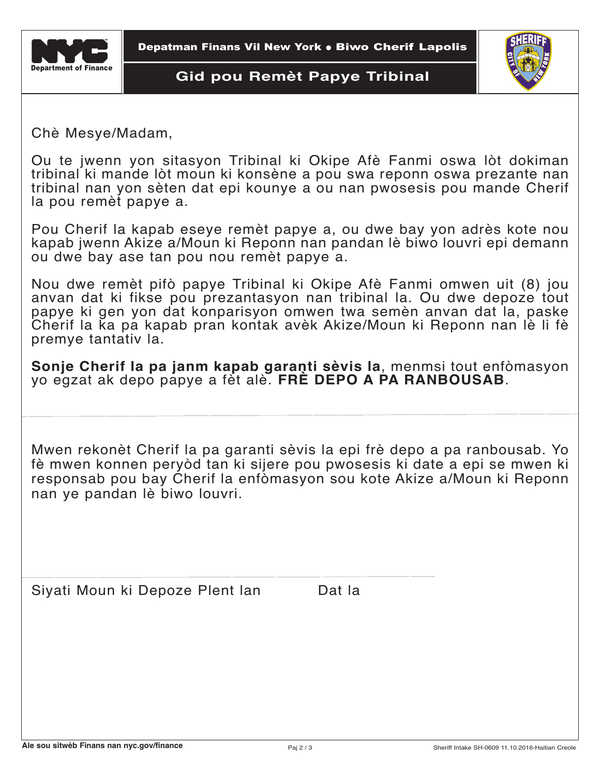

#### **Gid pou Remèt Papye Tribinal**



Chè Mesye/Madam,

Ou te jwenn yon sitasyon Tribinal ki Okipe Afè Fanmi oswa lòt dokiman tribinal ki mande lòt moun ki konsène a pou swa reponn oswa prezante nan tribinal nan yon sèten dat epi kounye a ou nan pwosesis pou mande Cherif la pou remèt papye a.

Pou Cherif la kapab eseye remèt papye a, ou dwe bay yon adrès kote nou kapab jwenn Akize a/Moun ki Reponn nan pandan lè biwo louvri epi demann ou dwe bay ase tan pou nou remèt papye a.

Nou dwe remèt pifò papye Tribinal ki Okipe Afè Fanmi omwen uit (8) jou anvan dat ki fikse pou prezantasyon nan tribinal la. Ou dwe depoze tout papye ki gen yon dat konparisyon omwen twa semèn anvan dat la, paske Cherif la ka pa kapab pran kontak avèk Akize/Moun ki Reponn nan lè li fè premye tantativ la.

**Sonje Cherif la pa janm kapab garanti sèvis la**, menmsi tout enfòmasyon yo egzat ak depo papye a fèt alè. **FRÈ DEPO A PA RANBOUSAB**.

Mwen rekonèt Cherif la pa garanti sèvis la epi frè depo a pa ranbousab. Yo fè mwen konnen peryòd tan ki sijere pou pwosesis ki date a epi se mwen ki responsab pou bay Cherif la enfòmasyon sou kote Akize a/Moun ki Reponn nan ye pandan lè biwo louvri.

Siyati Moun ki Depoze Plent lan Dat la